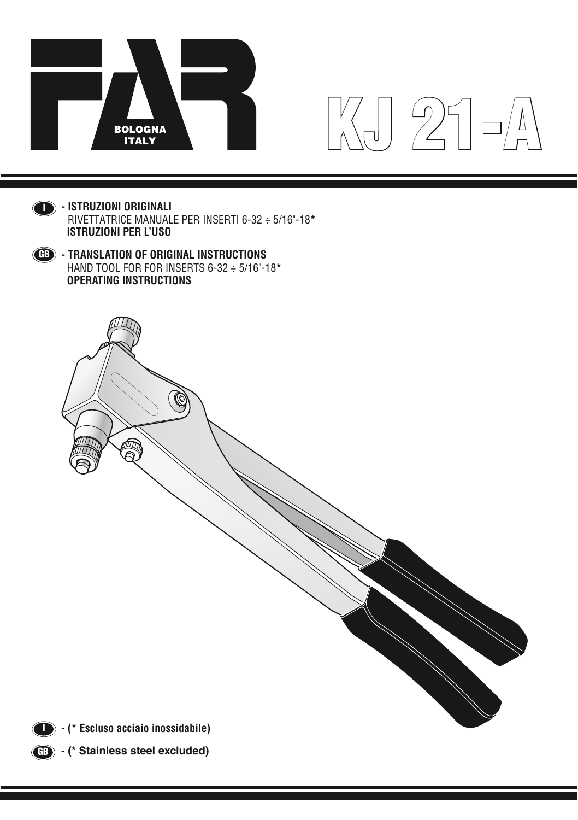

# KJ 21-A



**- ISTRUZIONI ORIGINALI** I Rivettatrice manuale PER INSERTI 6-32 ÷ 5/16"-18**\* ISTRUZIONI PER L'USO**





**(B)** - (\* Stainless steel excluded)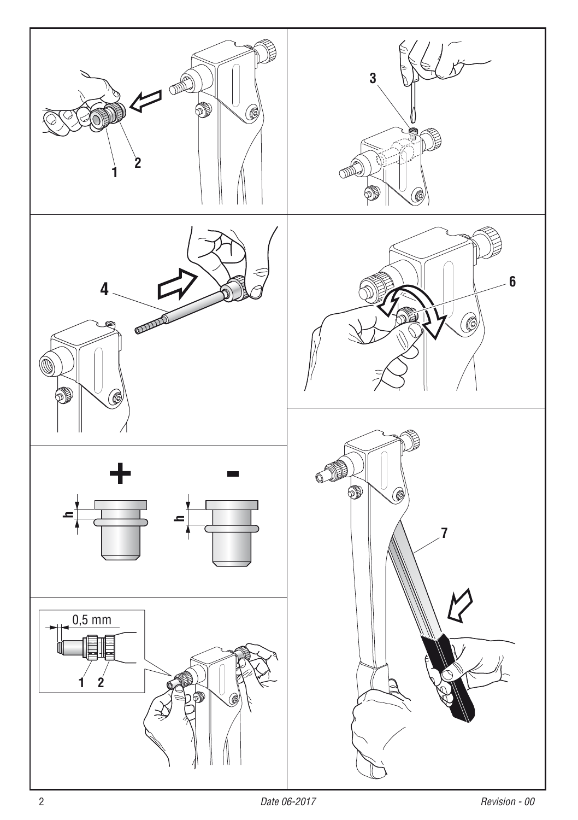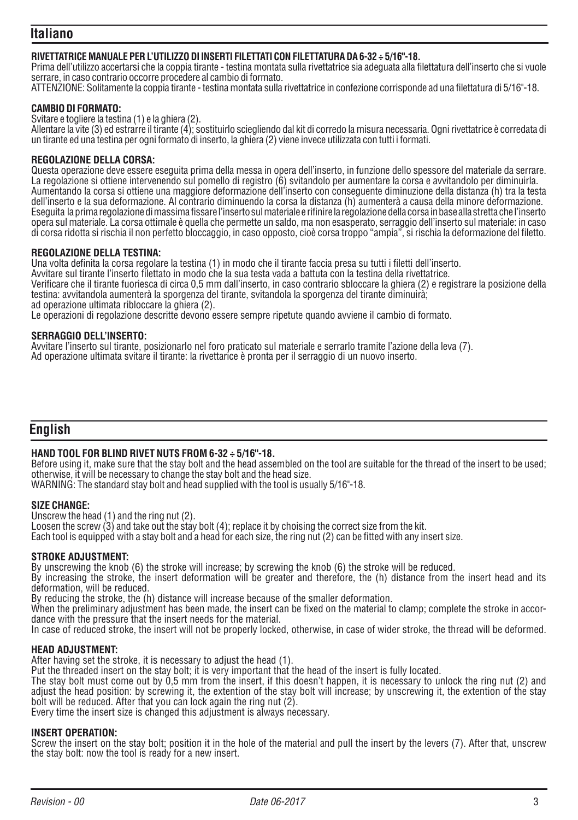# **Italiano**

# **RIVETTATRICE MANUALE PER L'UTILIZZO DI INSERTI FILETTATI CON FILETTATURA DA 6-32 ÷ 5/16"-18.**

Prima dell'utilizzo accertarsi che la coppia tirante - testina montata sulla rivettatrice sia adeguata alla filettatura dell'inserto che si vuole serrare, in caso contrario occorre procedere al cambio di formato.

ATTENZIONE: Solitamente la coppia tirante - testina montata sulla rivettatrice in confezione corrisponde ad una filettatura di 5/16"-18.

## **CAMBIO DI FORMATO:**

Svitare e togliere la testina (1) e la ghiera (2).

Allentare la vite (3) ed estrarre il tirante (4); sostituirlo sciegliendo dal kit di corredo la misura necessaria. Ogni rivettatrice è corredata di un tirante ed una testina per ogni formato di inserto, la ghiera (2) viene invece utilizzata con tutti i formati.

## **REGOLAZIONE DELLA CORSA:**

Questa operazione deve essere eseguita prima della messa in opera dell'inserto, in funzione dello spessore del materiale da serrare. La regolazione si ottiene intervenendo sul pomello di registro (6) svitandolo per aumentare la corsa e avvitandolo per diminuirla. Aumentando la corsa si ottiene una maggiore deformazione dell'inserto con conseguente diminuzione della distanza (h) tra la testa dell'inserto e la sua deformazione. Al contrario diminuendo la corsa la distanza (h) aumenterà a causa della minore deformazione. Eseguita la prima regolazione di massima fissare l'inserto sul materiale e rifinire la regolazione della corsa in base alla stretta che l'inserto opera sul materiale. La corsa ottimale è quella che permette un saldo, ma non esasperato, serraggio dell'inserto sul materiale: in caso di corsa ridotta si rischia il non perfetto bloccaggio, in caso opposto, cioè corsa troppo "ampia", si rischia la deformazione del filetto.

## **REGOLAZIONE DELLA TESTINA:**

Una volta definita la corsa regolare la testina (1) in modo che il tirante faccia presa su tutti i filetti dell'inserto.

Avvitare sul tirante l'inserto filettato in modo che la sua testa vada a battuta con la testina della rivettatrice. Verificare che il tirante fuoriesca di circa 0,5 mm dall'inserto, in caso contrario sbloccare la ghiera (2) e registrare la posizione della testina: avvitandola aumenterà la sporgenza del tirante, svitandola la sporgenza del tirante diminuirà; ad operazione ultimata ribloccare la ghiera (2).

Le operazioni di regolazione descritte devono essere sempre ripetute quando avviene il cambio di formato.

## **SERRAGGIO DELL'INSERTO:**

Avvitare l'inserto sul tirante, posizionarlo nel foro praticato sul materiale e serrarlo tramite l'azione della leva (7). Ad operazione ultimata svitare il tirante: la rivettarice è pronta per il serraggio di un nuovo inserto.

# **English**

# **HAND TOOL FOR BLIND RIVET NUTS FROM 6-32 ÷ 5/16"-18.**

Before using it, make sure that the stay bolt and the head assembled on the tool are suitable for the thread of the insert to be used; otherwise, it will be necessary to change the stay bolt and the head size.

WARNING: The standard stay bolt and head supplied with the tool is usually 5/16"-18.

## **SIZE CHANGE:**

Unscrew the head (1) and the ring nut (2). Loosen the screw (3) and take out the stay bolt (4); replace it by choising the correct size from the kit. Each tool is equipped with a stay bolt and a head for each size, the ring nut (2) can be fitted with any insert size.

## **STROKE ADJUSTMENT:**

By unscrewing the knob (6) the stroke will increase; by screwing the knob (6) the stroke will be reduced.

By increasing the stroke, the insert deformation will be greater and therefore, the (h) distance from the insert head and its deformation, will be reduced.

By reducing the stroke, the (h) distance will increase because of the smaller deformation.

When the preliminary adjustment has been made, the insert can be fixed on the material to clamp; complete the stroke in accordance with the pressure that the insert needs for the material.

In case of reduced stroke, the insert will not be properly locked, otherwise, in case of wider stroke, the thread will be deformed.

# **HEAD ADJUSTMENT:**

After having set the stroke, it is necessary to adjust the head (1).

Put the threaded insert on the stay bolt; it is very important that the head of the insert is fully located.

The stay bolt must come out by 0,5 mm from the insert, if this doesn't happen, it is necessary to unlock the ring nut (2) and adjust the head position: by screwing it, the extention of the stay bolt will increase; by unscrewing it, the extention of the stay bolt will be reduced. After that you can lock again the ring nut (2).

Every time the insert size is changed this adjustment is always necessary.

## **INSERT OPERATION:**

Screw the insert on the stay bolt; position it in the hole of the material and pull the insert by the levers (7). After that, unscrew the stay bolt: now the tool is ready for a new insert.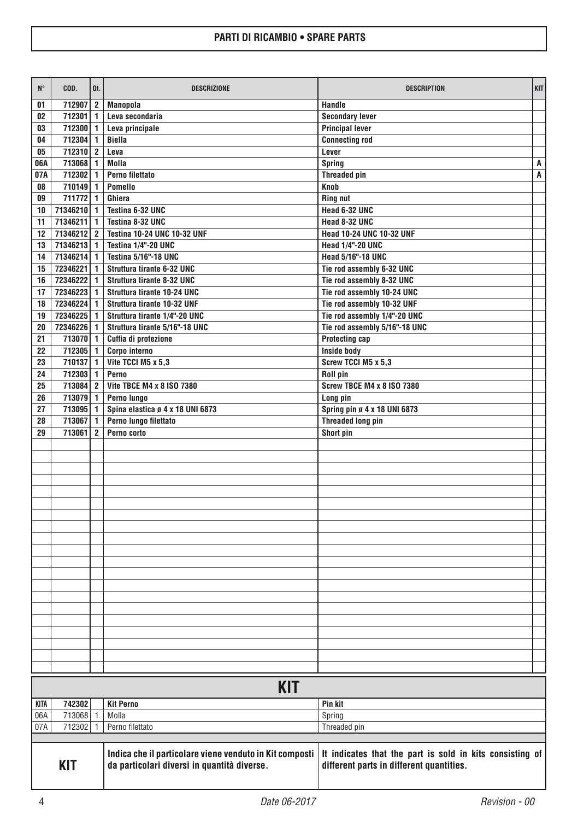| $N^{\circ}$ | COD.                 | Qt.                            | <b>DESCRIZIONE</b>                                                                                     | <b>DESCRIPTION</b>                                                                                   | KIT |
|-------------|----------------------|--------------------------------|--------------------------------------------------------------------------------------------------------|------------------------------------------------------------------------------------------------------|-----|
| 01          | 712907               | $\mathbf{2}$                   | <b>Manopola</b>                                                                                        | Handle                                                                                               |     |
| 02          | 712301               | 1                              | Leva secondaria                                                                                        | <b>Secondary lever</b>                                                                               |     |
| 03          | 712300               | 1                              | Leva principale                                                                                        | <b>Principal lever</b>                                                                               |     |
| 04          | 712304               | 1                              | <b>Biella</b>                                                                                          | <b>Connecting rod</b>                                                                                |     |
| 05          | 712310               | $\overline{2}$                 | Leva                                                                                                   | Lever                                                                                                |     |
| 06A         | 713068               | $\mathbf{1}$                   | Molla                                                                                                  | Spring                                                                                               | A   |
| 07A         | 712302               | $\mathbf{1}$                   | Perno filettato                                                                                        | <b>Threaded pin</b>                                                                                  | A   |
| 08          | 710149               | 1                              | Pomello                                                                                                | Knob                                                                                                 |     |
| 09          | 711772               | 1                              | Ghiera                                                                                                 | <b>Ring nut</b>                                                                                      |     |
| 10          | 71346210             | $\mathbf{1}$                   | Testina 6-32 UNC                                                                                       | Head 6-32 UNC                                                                                        |     |
| 11          | 71346211             | 1                              | Testina 8-32 UNC                                                                                       | Head 8-32 UNC                                                                                        |     |
| 12<br>13    | 71346212<br>71346213 | $\overline{2}$<br>$\mathbf{1}$ | Testina 10-24 UNC 10-32 UNF<br>Testina 1/4"-20 UNC                                                     | Head 10-24 UNC 10-32 UNF<br><b>Head 1/4"-20 UNC</b>                                                  |     |
| 14          | 71346214             | $\mathbf{1}$                   | <b>Testina 5/16"-18 UNC</b>                                                                            | Head 5/16"-18 UNC                                                                                    |     |
| 15          | 72346221             | 1                              | Struttura tirante 6-32 UNC                                                                             | Tie rod assembly 6-32 UNC                                                                            |     |
| 16          | 72346222             | $\mathbf{1}$                   | Struttura tirante 8-32 UNC                                                                             | Tie rod assembly 8-32 UNC                                                                            |     |
| 17          | 72346223             | 1                              | Struttura tirante 10-24 UNC                                                                            | Tie rod assembly 10-24 UNC                                                                           |     |
| 18          | 72346224             | $\mathbf{1}$                   | Struttura tirante 10-32 UNF                                                                            | Tie rod assembly 10-32 UNF                                                                           |     |
| 19          | 72346225             | 1                              | Struttura tirante 1/4"-20 UNC                                                                          | Tie rod assembly 1/4"-20 UNC                                                                         |     |
| 20          | 72346226             | 1                              | Struttura tirante 5/16"-18 UNC                                                                         | Tie rod assembly 5/16"-18 UNC                                                                        |     |
| 21          | 713070               | $\mathbf{1}$                   | Cuffia di protezione                                                                                   | <b>Protecting cap</b>                                                                                |     |
| 22          | 712305               | 1                              | Corpo interno                                                                                          | Inside body                                                                                          |     |
| 23          | 710137               | $\mathbf{1}$                   | Vite TCCI M5 x 5,3                                                                                     | Screw TCCI M5 x 5.3                                                                                  |     |
| 24          | 712303               | $\mathbf{1}$                   | Perno                                                                                                  | Roll pin                                                                                             |     |
| 25          | 713084               | $\overline{2}$                 | Vite TBCE M4 x 8 ISO 7380                                                                              | <b>Screw TBCE M4 x 8 ISO 7380</b>                                                                    |     |
| 26          | 713079               | 1                              | Perno lungo                                                                                            | Long pin                                                                                             |     |
| 27          | 713095               | $\mathbf{1}$                   | Spina elastica ø 4 x 18 UNI 6873                                                                       | Spring pin ø 4 x 18 UNI 6873                                                                         |     |
| 28          | 713067               | 1                              | Perno lungo filettato                                                                                  | <b>Threaded long pin</b>                                                                             |     |
| 29          | 713061               | $\overline{2}$                 | Perno corto                                                                                            | Short pin                                                                                            |     |
|             |                      |                                |                                                                                                        |                                                                                                      |     |
|             |                      |                                |                                                                                                        |                                                                                                      |     |
|             |                      |                                |                                                                                                        |                                                                                                      |     |
|             |                      |                                |                                                                                                        |                                                                                                      |     |
|             |                      |                                |                                                                                                        |                                                                                                      |     |
|             |                      |                                |                                                                                                        |                                                                                                      |     |
|             |                      |                                |                                                                                                        |                                                                                                      |     |
|             |                      |                                |                                                                                                        |                                                                                                      |     |
|             |                      |                                |                                                                                                        |                                                                                                      |     |
|             |                      |                                |                                                                                                        |                                                                                                      |     |
|             |                      |                                |                                                                                                        |                                                                                                      |     |
|             |                      |                                |                                                                                                        |                                                                                                      |     |
|             |                      |                                |                                                                                                        |                                                                                                      |     |
|             |                      |                                |                                                                                                        |                                                                                                      |     |
|             |                      |                                |                                                                                                        |                                                                                                      |     |
|             |                      |                                |                                                                                                        |                                                                                                      |     |
|             |                      |                                |                                                                                                        |                                                                                                      |     |
|             |                      |                                |                                                                                                        |                                                                                                      |     |
|             |                      |                                |                                                                                                        |                                                                                                      |     |
|             |                      |                                |                                                                                                        |                                                                                                      |     |
| <b>KIT</b>  |                      |                                |                                                                                                        |                                                                                                      |     |
| <b>KITA</b> | 742302               |                                | <b>Kit Perno</b>                                                                                       | Pin kit                                                                                              |     |
| 06A         | 713068               | $\overline{1}$                 | Molla                                                                                                  | Spring                                                                                               |     |
| 07A         | 712302               | $\mathbf{1}$                   | Perno filettato                                                                                        | Threaded pin                                                                                         |     |
|             |                      |                                |                                                                                                        |                                                                                                      |     |
| KIT         |                      |                                | Indica che il particolare viene venduto in Kit composti<br>da particolari diversi in quantità diverse. | It indicates that the part is sold in kits consisting of<br>different parts in different quantities. |     |

I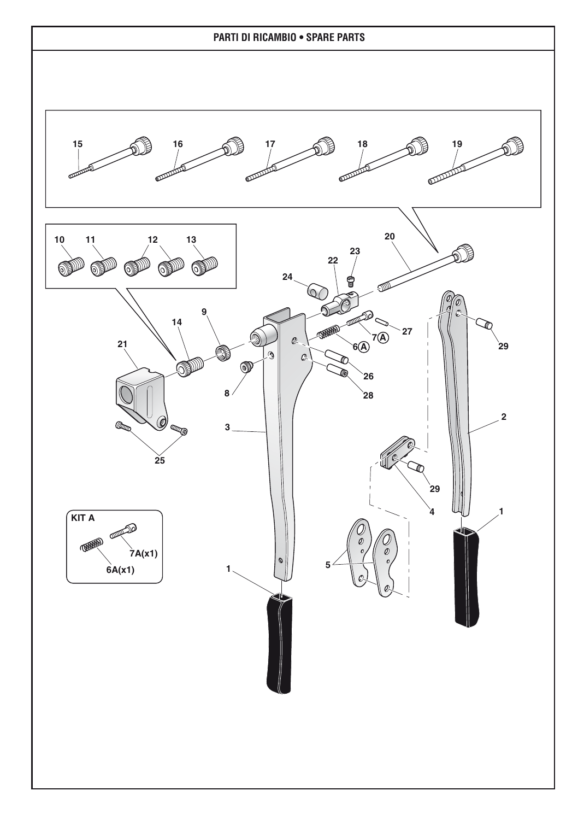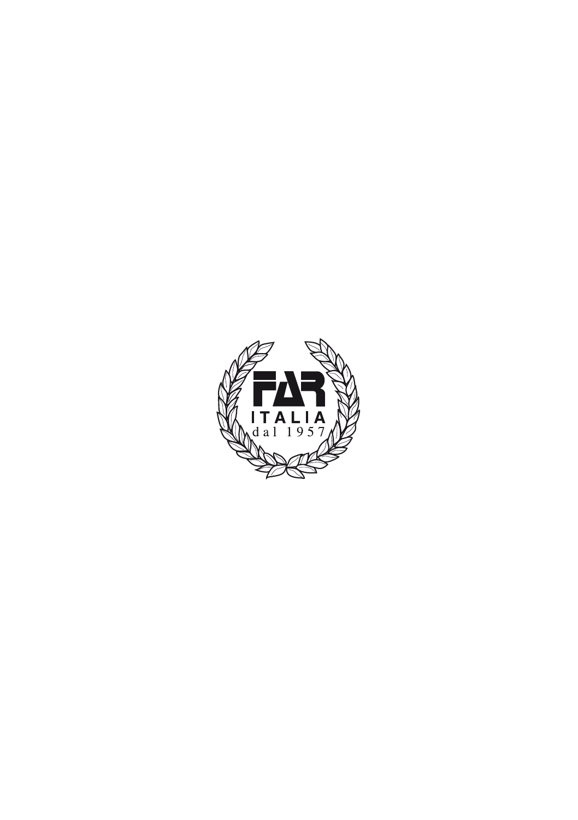